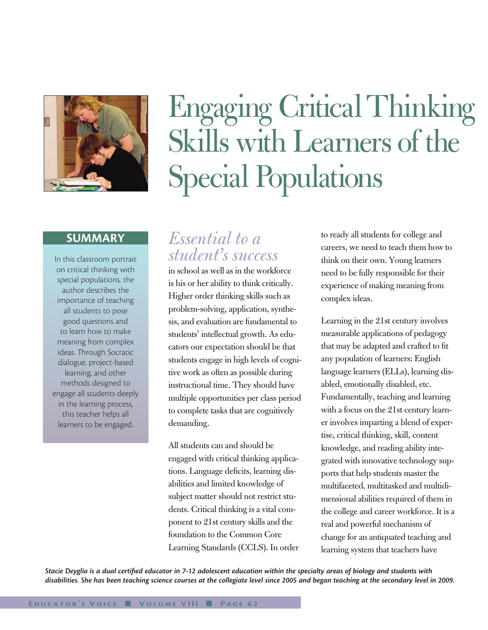

#### **SUMMARY**

In this classroom portrait on critical thinking with special populations, the author describes the importance of teaching all students to pose good questions and to learn how to make meaning from complex ideas. Through Socratic dialogue, project-based learning, and other methods designed to engage all students deeply in the learning process, this teacher helps all learners to be engaged.

# Engaging Critical Thinking Skills with Learners of the Special Populations

# *Essential to a student's success*

in school as well as in the workforce is his or her ability to think critically. Higher order thinking skills such as problem-solving, application, synthesis, and evaluation are fundamental to students' intellectual growth. As educators our expectation should be that students engage in high levels of cognitive work as often as possible during instructional time. They should have multiple opportunities per class period to complete tasks that are cognitively demanding.

All students can and should be engaged with critical thinking applications. Language deficits, learning disabilities and limited knowledge of subject matter should not restrict students. Critical thinking is a vital component to 21st century skills and the foundation to the Common Core Learning Standards (CCLS). In order to ready all students for college and careers, we need to teach them how to think on their own. Young learners need to be fully responsible for their experience of making meaning from complex ideas.

Learning in the 21st century involves measurable applications of pedagogy that may be adapted and crafted to fit any population of learners: English language learners (ELLs), learning disabled, emotionally disabled, etc. Fundamentally, teaching and learning with a focus on the 21st century learner involves imparting a blend of expertise, critical thinking, skill, content knowledge, and reading ability integrated with innovative technology supports that help students master the multifaceted, multitasked and multidimensional abilities required of them in the college and career workforce. It is a real and powerful mechanism of change for an antiquated teaching and learning system that teachers have

*Stacie Deyglio is a dual certified educator in 7-12 adolescent education within the specialty areas of biology and students with disabilities. She has been teaching science courses at the collegiate level since 2005 and began teaching at the secondary level in 2009.*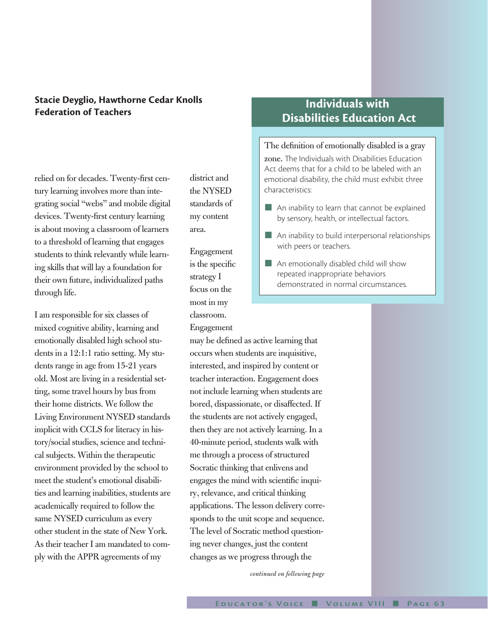### **Stacie Deyglio, Hawthorne Cedar Knolls Federation of Teachers**

relied on for decades. Twenty-first century learning involves more than integrating social "webs" and mobile digital devices. Twenty-first century learning is about moving a classroom of learners to a threshold of learning that engages students to think relevantly while learning skills that will lay a foundation for their own future, individualized paths through life.

I am responsible for six classes of mixed cognitive ability, learning and emotionally disabled high school students in a 12:1:1 ratio setting. My students range in age from 15-21 years old. Most are living in a residential setting, some travel hours by bus from their home districts. We follow the Living Environment NYSED standards implicit with CCLS for literacy in history/social studies, science and technical subjects. Within the therapeutic environment provided by the school to meet the student's emotional disabilities and learning inabilities, students are academically required to follow the same NYSED curriculum as every other student in the state of New York. As their teacher I am mandated to comply with the APPR agreements of my

district and the NYSED standards of my content area.

Engagement is the specific strategy I focus on the most in my classroom.

Engagement

may be defined as active learning that occurs when students are inquisitive, interested, and inspired by content or teacher interaction. Engagement does not include learning when students are bored, dispassionate, or disaffected. If the students are not actively engaged, then they are not actively learning. In a 40-minute period, students walk with me through a process of structured Socratic thinking that enlivens and engages the mind with scientific inquiry, relevance, and critical thinking applications. The lesson delivery corresponds to the unit scope and sequence. The level of Socratic method questioning never changes, just the content changes as we progress through the

*continued on following page*

## **Individuals with Disabilities Education Act**

The definition of emotionally disabled is a gray zone. The Individuals with Disabilities Education Act deems that for a child to be labeled with an emotional disability, the child must exhibit three characteristics:

- $\blacksquare$  An inability to learn that cannot be explained by sensory, health, or intellectual factors.
- $\blacksquare$  An inability to build interpersonal relationships with peers or teachers.
- $\blacksquare$  An emotionally disabled child will show repeated inappropriate behaviors demonstrated in normal circumstances.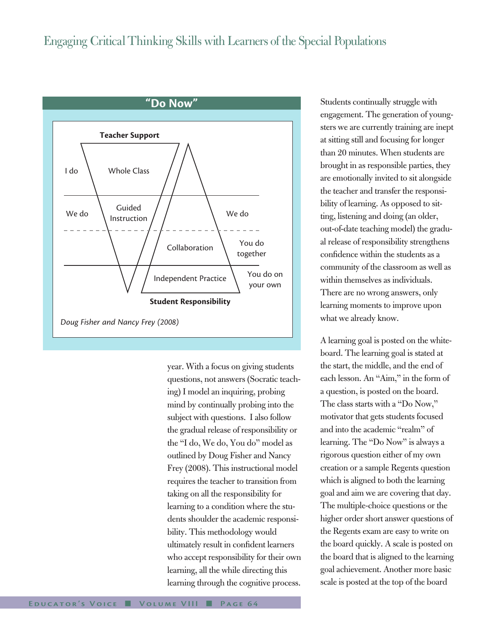# Engaging Critical Thinking Skills with Learners of the Special Populations



year. With a focus on giving students questions, not answers (Socratic teaching) I model an inquiring, probing mind by continually probing into the subject with questions. I also follow the gradual release of responsibility or the "I do, We do, You do" model as outlined by Doug Fisher and Nancy Frey (2008). This instructional model requires the teacher to transition from taking on all the responsibility for learning to a condition where the students shoulder the academic responsibility. This methodology would ultimately result in confident learners who accept responsibility for their own learning, all the while directing this learning through the cognitive process.

Students continually struggle with engagement. The generation of youngsters we are currently training are inept at sitting still and focusing for longer than 20 minutes. When students are brought in as responsible parties, they are emotionally invited to sit alongside the teacher and transfer the responsibility of learning. As opposed to sitting, listening and doing (an older, out-of-date teaching model) the gradual release of responsibility strengthens confidence within the students as a community of the classroom as well as within themselves as individuals. There are no wrong answers, only learning moments to improve upon what we already know.

A learning goal is posted on the whiteboard. The learning goal is stated at the start, the middle, and the end of each lesson. An "Aim," in the form of a question, is posted on the board. The class starts with a "Do Now," motivator that gets students focused and into the academic "realm" of learning. The "Do Now" is always a rigorous question either of my own creation or a sample Regents question which is aligned to both the learning goal and aim we are covering that day. The multiple-choice questions or the higher order short answer questions of the Regents exam are easy to write on the board quickly. A scale is posted on the board that is aligned to the learning goal achievement. Another more basic scale is posted at the top of the board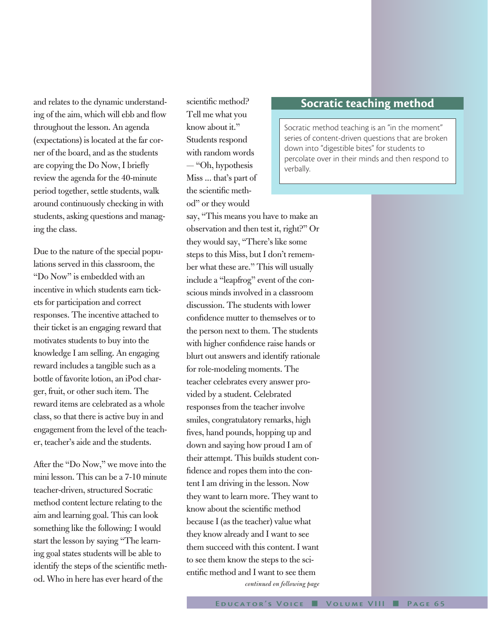and relates to the dynamic understanding of the aim, which will ebb and flow throughout the lesson. An agenda (expectations) is located at the far corner of the board, and as the students are copying the Do Now, I briefly review the agenda for the 40-minute period together, settle students, walk around continuously checking in with students, asking questions and managing the class.

Due to the nature of the special populations served in this classroom, the "Do Now" is embedded with an incentive in which students earn tickets for participation and correct responses. The incentive attached to their ticket is an engaging reward that motivates students to buy into the knowledge I am selling. An engaging reward includes a tangible such as a bottle of favorite lotion, an iPod charger, fruit, or other such item. The reward items are celebrated as a whole class, so that there is active buy in and engagement from the level of the teacher, teacher's aide and the students.

After the "Do Now," we move into the mini lesson. This can be a 7-10 minute teacher-driven, structured Socratic method content lecture relating to the aim and learning goal. This can look something like the following: I would start the lesson by saying "The learning goal states students will be able to identify the steps of the scientific method. Who in here has ever heard of the

scientific method? Tell me what you know about it." Students respond with random words — "Oh, hypothesis Miss ... that's part of the scientific method" or they would

say, "This means you have to make an observation and then test it, right?" Or they would say, "There's like some steps to this Miss, but I don't remember what these are." This will usually include a "leapfrog" event of the conscious minds involved in a classroom discussion. The students with lower confidence mutter to themselves or to the person next to them. The students with higher confidence raise hands or blurt out answers and identify rationale for role-modeling moments. The teacher celebrates every answer provided by a student. Celebrated responses from the teacher involve smiles, congratulatory remarks, high fives, hand pounds, hopping up and down and saying how proud I am of their attempt. This builds student confidence and ropes them into the content I am driving in the lesson. Now they want to learn more. They want to know about the scientific method because I (as the teacher) value what they know already and I want to see them succeed with this content. I want to see them know the steps to the scientific method and I want to see them *continued on following page*

## **Socratic teaching method**

Socratic method teaching is an "in the moment" series of content-driven questions that are broken down into "digestible bites" for students to percolate over in their minds and then respond to verbally.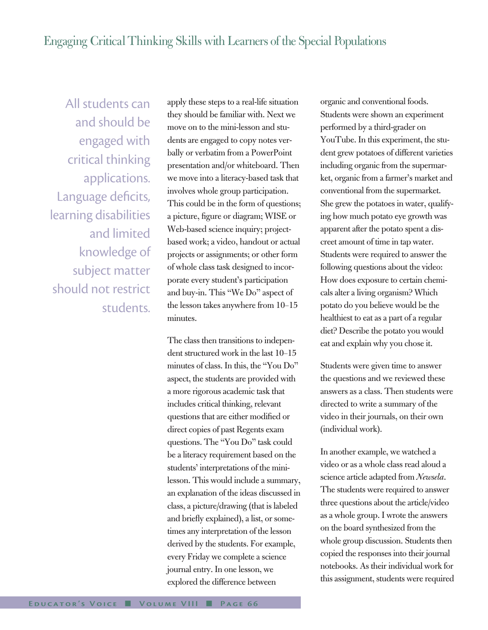All students can and should be engaged with critical thinking applications. Language deficits, learning disabilities and limited knowledge of subject matter should not restrict students.

apply these steps to a real-life situation they should be familiar with. Next we move on to the mini-lesson and students are engaged to copy notes verbally or verbatim from a PowerPoint presentation and/or whiteboard. Then we move into a literacy-based task that involves whole group participation. This could be in the form of questions; a picture, figure or diagram; WISE or Web-based science inquiry; projectbased work; a video, handout or actual projects or assignments; or other form of whole class task designed to incorporate every student's participation and buy-in. This "We Do" aspect of the lesson takes anywhere from 10–15 minutes.

The class then transitions to independent structured work in the last 10–15 minutes of class. In this, the "You Do" aspect, the students are provided with a more rigorous academic task that includes critical thinking, relevant questions that are either modified or direct copies of past Regents exam questions. The "You Do" task could be a literacy requirement based on the students' interpretations of the minilesson. This would include a summary, an explanation of the ideas discussed in class, a picture/drawing (that is labeled and briefly explained), a list, or sometimes any interpretation of the lesson derived by the students. For example, every Friday we complete a science journal entry. In one lesson, we explored the difference between

organic and conventional foods. Students were shown an experiment performed by a third-grader on YouTube. In this experiment, the student grew potatoes of different varieties including organic from the supermarket, organic from a farmer's market and conventional from the supermarket. She grew the potatoes in water, qualifying how much potato eye growth was apparent after the potato spent a discreet amount of time in tap water. Students were required to answer the following questions about the video: How does exposure to certain chemicals alter a living organism? Which potato do you believe would be the healthiest to eat as a part of a regular diet? Describe the potato you would eat and explain why you chose it.

Students were given time to answer the questions and we reviewed these answers as a class. Then students were directed to write a summary of the video in their journals, on their own (individual work).

In another example, we watched a video or as a whole class read aloud a science article adapted from *Newsela*. The students were required to answer three questions about the article/video as a whole group. I wrote the answers on the board synthesized from the whole group discussion. Students then copied the responses into their journal notebooks. As their individual work for this assignment, students were required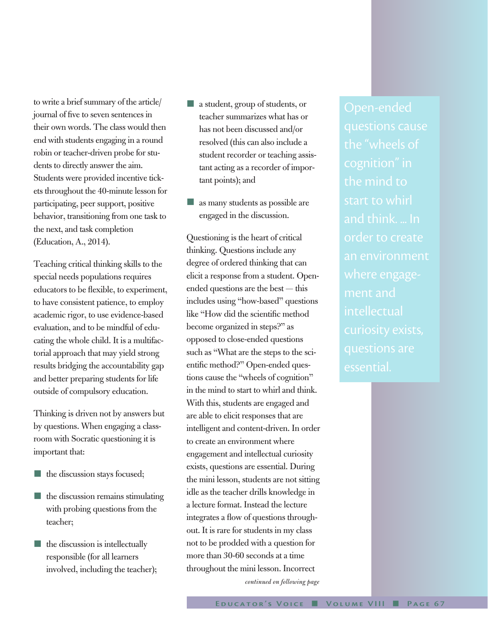to write a brief summary of the article/ journal of five to seven sentences in their own words. The class would then end with students engaging in a round robin or teacher-driven probe for students to directly answer the aim. Students were provided incentive tickets throughout the 40-minute lesson for participating, peer support, positive behavior, transitioning from one task to the next, and task completion (Education, A., 2014).

Teaching critical thinking skills to the special needs populations requires educators to be flexible, to experiment, to have consistent patience, to employ academic rigor, to use evidence-based evaluation, and to be mindful of educating the whole child. It is a multifactorial approach that may yield strong results bridging the accountability gap and better preparing students for life outside of compulsory education.

Thinking is driven not by answers but by questions. When engaging a classroom with Socratic questioning it is important that:

- the discussion stays focused;
- $\blacksquare$  the discussion remains stimulating with probing questions from the teacher;
- $\blacksquare$  the discussion is intellectually responsible (for all learners involved, including the teacher);
- $\blacksquare$  a student, group of students, or teacher summarizes what has or has not been discussed and/or resolved (this can also include a student recorder or teaching assistant acting as a recorder of important points); and
- $\blacksquare$  as many students as possible are engaged in the discussion.

Questioning is the heart of critical thinking. Questions include any degree of ordered thinking that can elicit a response from a student. Openended questions are the best — this includes using "how-based" questions like "How did the scientific method become organized in steps?" as opposed to close-ended questions such as "What are the steps to the scientific method?" Open-ended questions cause the "wheels of cognition" in the mind to start to whirl and think. With this, students are engaged and are able to elicit responses that are intelligent and content-driven. In order to create an environment where engagement and intellectual curiosity exists, questions are essential. During the mini lesson, students are not sitting idle as the teacher drills knowledge in a lecture format. Instead the lecture integrates a flow of questions throughout. It is rare for students in my class not to be prodded with a question for more than 30-60 seconds at a time throughout the mini lesson. Incorrect *continued on following page*

questions cause the "wheels of the mind to start to whirl and think. ... In order to create an environment where engagement and intellectual essential.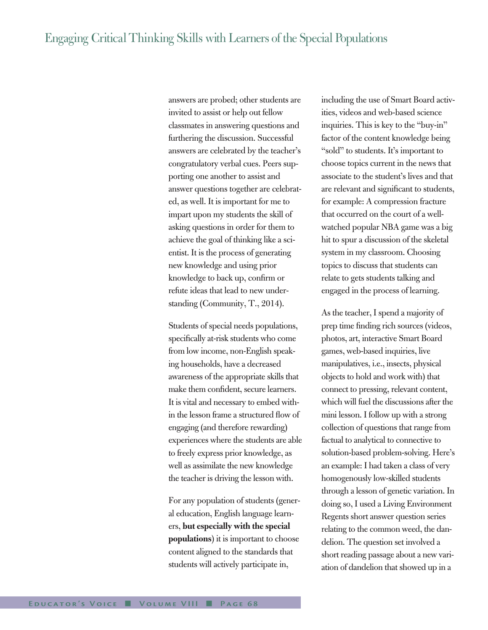answers are probed; other students are invited to assist or help out fellow classmates in answering questions and furthering the discussion. Successful answers are celebrated by the teacher's congratulatory verbal cues. Peers supporting one another to assist and answer questions together are celebrated, as well. It is important for me to impart upon my students the skill of asking questions in order for them to achieve the goal of thinking like a scientist. It is the process of generating new knowledge and using prior knowledge to back up, confirm or refute ideas that lead to new understanding (Community, T., 2014).

Students of special needs populations, specifically at-risk students who come from low income, non-English speaking households, have a decreased awareness of the appropriate skills that make them confident, secure learners. It is vital and necessary to embed within the lesson frame a structured flow of engaging (and therefore rewarding) experiences where the students are able to freely express prior knowledge, as well as assimilate the new knowledge the teacher is driving the lesson with.

For any population of students (general education, English language learners, **but especially with the special populations**) it is important to choose content aligned to the standards that students will actively participate in,

including the use of Smart Board activities, videos and web-based science inquiries. This is key to the "buy-in" factor of the content knowledge being "sold" to students. It's important to choose topics current in the news that associate to the student's lives and that are relevant and significant to students, for example: A compression fracture that occurred on the court of a wellwatched popular NBA game was a big hit to spur a discussion of the skeletal system in my classroom. Choosing topics to discuss that students can relate to gets students talking and engaged in the process of learning.

As the teacher, I spend a majority of prep time finding rich sources (videos, photos, art, interactive Smart Board games, web-based inquiries, live manipulatives, i.e., insects, physical objects to hold and work with) that connect to pressing, relevant content, which will fuel the discussions after the mini lesson. I follow up with a strong collection of questions that range from factual to analytical to connective to solution-based problem-solving. Here's an example: I had taken a class of very homogenously low-skilled students through a lesson of genetic variation. In doing so, I used a Living Environment Regents short answer question series relating to the common weed, the dandelion. The question set involved a short reading passage about a new variation of dandelion that showed up in a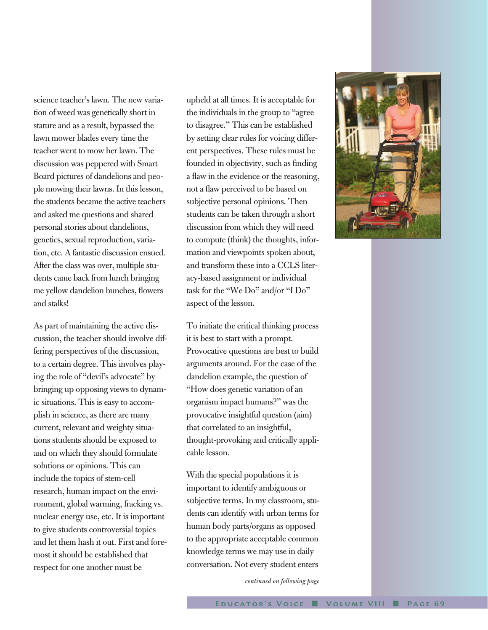science teacher's lawn. The new variation of weed was genetically short in stature and as a result, bypassed the lawn mower blades every time the teacher went to mow her lawn. The discussion was peppered with Smart Board pictures of dandelions and people mowing their lawns. In this lesson, the students became the active teachers and asked me questions and shared personal stories about dandelions, genetics, sexual reproduction, variation, etc. A fantastic discussion ensued. After the class was over, multiple students came back from lunch bringing me yellow dandelion bunches, flowers and stalks!

As part of maintaining the active discussion, the teacher should involve differing perspectives of the discussion, to a certain degree. This involves playing the role of "devil's advocate" by bringing up opposing views to dynamic situations. This is easy to accomplish in science, as there are many current, relevant and weighty situations students should be exposed to and on which they should formulate solutions or opinions. This can include the topics of stem-cell research, human impact on the environment, global warming, fracking vs. nuclear energy use, etc. It is important to give students controversial topics and let them hash it out. First and foremost it should be established that respect for one another must be

upheld at all times. It is acceptable for the individuals in the group to "agree to disagree." This can be established by setting clear rules for voicing different perspectives. These rules must be founded in objectivity, such as finding a flaw in the evidence or the reasoning, not a flaw perceived to be based on subjective personal opinions. Then students can be taken through a short discussion from which they will need to compute (think) the thoughts, information and viewpoints spoken about, and transform these into a CCLS literacy-based assignment or individual task for the "We Do" and/or "I Do" aspect of the lesson.

To initiate the critical thinking process it is best to start with a prompt. Provocative questions are best to build arguments around. For the case of the dandelion example, the question of "How does genetic variation of an organism impact humans?" was the provocative insightful question (aim) that correlated to an insightful, thought-provoking and critically applicable lesson.

With the special populations it is important to identify ambiguous or subjective terms. In my classroom, students can identify with urban terms for human body parts/organs as opposed to the appropriate acceptable common knowledge terms we may use in daily conversation. Not every student enters

*continued on following page*

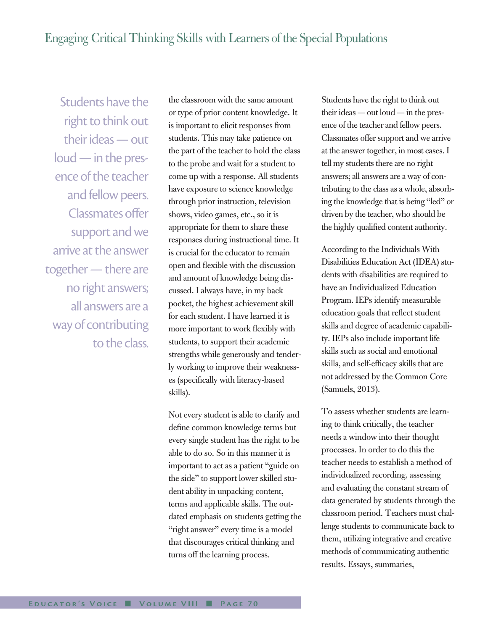Students have the right to think out their ideas — out loud — in the presence of the teacher and fellow peers. Classmates offer support and we arrive at the answer together — there are no right answers; all answers are a way of contributing to the class.

the classroom with the same amount or type of prior content knowledge. It is important to elicit responses from students. This may take patience on the part of the teacher to hold the class to the probe and wait for a student to come up with a response. All students have exposure to science knowledge through prior instruction, television shows, video games, etc., so it is appropriate for them to share these responses during instructional time. It is crucial for the educator to remain open and flexible with the discussion and amount of knowledge being discussed. I always have, in my back pocket, the highest achievement skill for each student. I have learned it is more important to work flexibly with students, to support their academic strengths while generously and tenderly working to improve their weaknesses (specifically with literacy-based skills).

Not every student is able to clarify and define common knowledge terms but every single student has the right to be able to do so. So in this manner it is important to act as a patient "guide on the side" to support lower skilled student ability in unpacking content, terms and applicable skills. The outdated emphasis on students getting the "right answer" every time is a model that discourages critical thinking and turns off the learning process.

Students have the right to think out their ideas — out loud — in the presence of the teacher and fellow peers. Classmates offer support and we arrive at the answer together, in most cases. I tell my students there are no right answers; all answers are a way of contributing to the class as a whole, absorbing the knowledge that is being "led" or driven by the teacher, who should be the highly qualified content authority.

According to the Individuals With Disabilities Education Act (IDEA) students with disabilities are required to have an Individualized Education Program. IEPs identify measurable education goals that reflect student skills and degree of academic capability. IEPs also include important life skills such as social and emotional skills, and self-efficacy skills that are not addressed by the Common Core (Samuels, 2013).

To assess whether students are learning to think critically, the teacher needs a window into their thought processes. In order to do this the teacher needs to establish a method of individualized recording, assessing and evaluating the constant stream of data generated by students through the classroom period. Teachers must challenge students to communicate back to them, utilizing integrative and creative methods of communicating authentic results. Essays, summaries,